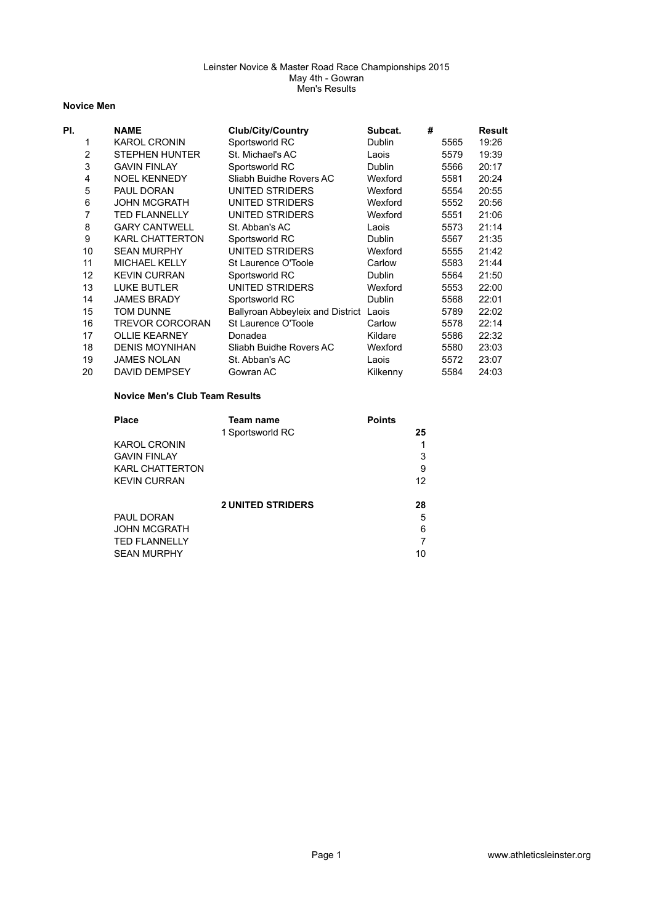### **Novice Men**

| PI. |                | <b>NAME</b>            | <b>Club/City/Country</b>                | Subcat.       | # |      | Result |
|-----|----------------|------------------------|-----------------------------------------|---------------|---|------|--------|
|     |                | <b>KAROL CRONIN</b>    | Sportsworld RC                          | <b>Dublin</b> |   | 5565 | 19:26  |
|     | $\overline{2}$ | <b>STEPHEN HUNTER</b>  | St. Michael's AC                        | Laois         |   | 5579 | 19:39  |
|     | 3              | <b>GAVIN FINLAY</b>    | Sportsworld RC                          | <b>Dublin</b> |   | 5566 | 20:17  |
|     | 4              | <b>NOEL KENNEDY</b>    | Sliabh Buidhe Rovers AC                 | Wexford       |   | 5581 | 20:24  |
|     | 5              | PAUL DORAN             | UNITED STRIDERS                         | Wexford       |   | 5554 | 20:55  |
|     | 6              | <b>JOHN MCGRATH</b>    | UNITED STRIDERS                         | Wexford       |   | 5552 | 20:56  |
|     | 7              | <b>TED FLANNELLY</b>   | UNITED STRIDERS                         | Wexford       |   | 5551 | 21:06  |
|     | 8              | <b>GARY CANTWELL</b>   | St. Abban's AC                          | Laois         |   | 5573 | 21:14  |
|     | 9              | <b>KARL CHATTERTON</b> | Sportsworld RC                          | <b>Dublin</b> |   | 5567 | 21:35  |
|     | 10             | <b>SEAN MURPHY</b>     | UNITED STRIDERS                         | Wexford       |   | 5555 | 21:42  |
|     | 11             | <b>MICHAEL KELLY</b>   | St Laurence O'Toole                     | Carlow        |   | 5583 | 21:44  |
|     | 12             | <b>KEVIN CURRAN</b>    | Sportsworld RC                          | <b>Dublin</b> |   | 5564 | 21:50  |
|     | 13             | <b>LUKE BUTLER</b>     | UNITED STRIDERS                         | Wexford       |   | 5553 | 22:00  |
|     | 14             | <b>JAMES BRADY</b>     | Sportsworld RC                          | <b>Dublin</b> |   | 5568 | 22:01  |
|     | 15             | TOM DUNNE              | <b>Ballyroan Abbeyleix and District</b> | Laois         |   | 5789 | 22:02  |
|     | 16             | <b>TREVOR CORCORAN</b> | St Laurence O'Toole                     | Carlow        |   | 5578 | 22:14  |
|     | 17             | <b>OLLIE KEARNEY</b>   | Donadea                                 | Kildare       |   | 5586 | 22:32  |
|     | 18             | <b>DENIS MOYNIHAN</b>  | Sliabh Buidhe Rovers AC                 | Wexford       |   | 5580 | 23:03  |
|     | 19             | <b>JAMES NOLAN</b>     | St. Abban's AC                          | Laois         |   | 5572 | 23:07  |
|     | 20             | <b>DAVID DEMPSEY</b>   | Gowran AC                               | Kilkenny      |   | 5584 | 24:03  |

### **Novice Men's Club Team Results**

| <b>Place</b>           | Team name                | <b>Points</b> |
|------------------------|--------------------------|---------------|
|                        | 1 Sportsworld RC         | 25            |
| <b>KAROL CRONIN</b>    |                          |               |
| <b>GAVIN FINLAY</b>    |                          | 3             |
| <b>KARL CHATTERTON</b> |                          | 9             |
| <b>KEVIN CURRAN</b>    |                          | 12            |
|                        |                          |               |
|                        | <b>2 UNITED STRIDERS</b> | 28            |
| PAUL DORAN             |                          | 5             |
| <b>JOHN MCGRATH</b>    |                          | 6             |
| <b>TED FLANNELLY</b>   |                          | 7             |
| <b>SEAN MURPHY</b>     |                          | 10            |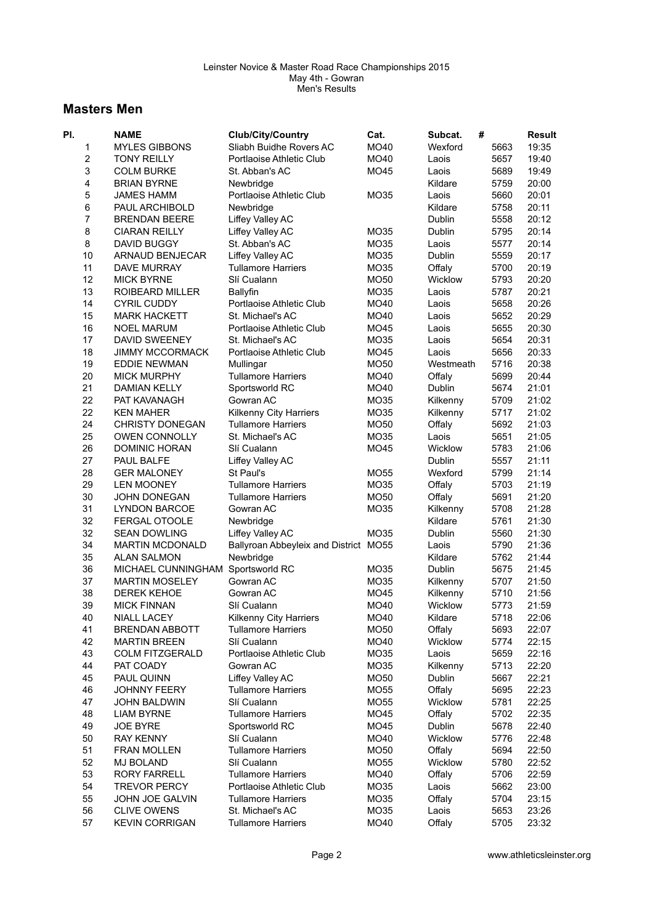# **Masters Men**

| PI. | <b>NAME</b>            | <b>Club/City/Country</b>                            | Cat.        | #<br>Subcat.       |      | <b>Result</b> |
|-----|------------------------|-----------------------------------------------------|-------------|--------------------|------|---------------|
| 1   | <b>MYLES GIBBONS</b>   | Sliabh Buidhe Rovers AC                             | MO40        | Wexford            | 5663 | 19:35         |
| 2   | <b>TONY REILLY</b>     | Portlaoise Athletic Club                            | MO40        | Laois              | 5657 | 19:40         |
| 3   | <b>COLM BURKE</b>      | St. Abban's AC                                      | MO45        | Laois              | 5689 | 19:49         |
| 4   | <b>BRIAN BYRNE</b>     | Newbridge                                           |             | Kildare            | 5759 | 20:00         |
| 5   | <b>JAMES HAMM</b>      | Portlaoise Athletic Club                            | MO35        | Laois              | 5660 | 20:01         |
| 6   | PAUL ARCHIBOLD         | Newbridge                                           |             | Kildare            | 5758 | 20:11         |
| 7   | <b>BRENDAN BEERE</b>   | Liffey Valley AC                                    |             | Dublin             | 5558 | 20:12         |
| 8   | <b>CIARAN REILLY</b>   | Liffey Valley AC                                    | MO35        | Dublin             | 5795 | 20:14         |
| 8   | DAVID BUGGY            | St. Abban's AC                                      | MO35        | Laois              | 5577 | 20:14         |
| 10  | ARNAUD BENJECAR        | Liffey Valley AC                                    | MO35        | Dublin             | 5559 | 20:17         |
| 11  | <b>DAVE MURRAY</b>     | <b>Tullamore Harriers</b>                           | MO35        | Offaly             | 5700 | 20:19         |
| 12  | <b>MICK BYRNE</b>      | Slí Cualann                                         | MO50        | Wicklow            | 5793 | 20:20         |
| 13  | <b>ROIBEARD MILLER</b> | <b>Ballyfin</b>                                     | MO35        | Laois              | 5787 | 20:21         |
| 14  | <b>CYRIL CUDDY</b>     | Portlaoise Athletic Club                            | MO40        | Laois              | 5658 | 20:26         |
| 15  | <b>MARK HACKETT</b>    | St. Michael's AC                                    | MO40        | Laois              | 5652 | 20:29         |
| 16  | <b>NOEL MARUM</b>      | Portlaoise Athletic Club                            | MO45        | Laois              | 5655 | 20:30         |
| 17  | DAVID SWEENEY          | St. Michael's AC                                    | MO35        | Laois              | 5654 | 20:31         |
| 18  | <b>JIMMY MCCORMACK</b> | Portlaoise Athletic Club                            | MO45        | Laois              | 5656 | 20:33         |
| 19  | <b>EDDIE NEWMAN</b>    | Mullingar                                           | MO50        | Westmeath          | 5716 | 20:38         |
| 20  | <b>MICK MURPHY</b>     | <b>Tullamore Harriers</b>                           | MO40        | Offaly             | 5699 | 20:44         |
| 21  | DAMIAN KELLY           | Sportsworld RC                                      | MO40        | Dublin             | 5674 | 21:01         |
| 22  | PAT KAVANAGH           | Gowran AC                                           | MO35        |                    | 5709 | 21:02         |
| 22  | <b>KEN MAHER</b>       |                                                     | MO35        | Kilkenny           | 5717 | 21:02         |
| 24  | <b>CHRISTY DONEGAN</b> | Kilkenny City Harriers<br><b>Tullamore Harriers</b> |             | Kilkenny<br>Offaly |      | 21:03         |
|     | <b>OWEN CONNOLLY</b>   |                                                     | MO50        |                    | 5692 |               |
| 25  |                        | St. Michael's AC                                    | MO35        | Laois              | 5651 | 21:05         |
| 26  | <b>DOMINIC HORAN</b>   | Slí Cualann                                         | MO45        | Wicklow            | 5783 | 21:06         |
| 27  | PAUL BALFE             | Liffey Valley AC                                    |             | Dublin             | 5557 | 21:11         |
| 28  | <b>GER MALONEY</b>     | St Paul's                                           | MO55        | Wexford            | 5799 | 21:14         |
| 29  | <b>LEN MOONEY</b>      | <b>Tullamore Harriers</b>                           | MO35        | Offaly             | 5703 | 21:19         |
| 30  | <b>JOHN DONEGAN</b>    | <b>Tullamore Harriers</b>                           | <b>MO50</b> | Offaly             | 5691 | 21:20         |
| 31  | <b>LYNDON BARCOE</b>   | Gowran AC                                           | MO35        | Kilkenny           | 5708 | 21:28         |
| 32  | <b>FERGAL OTOOLE</b>   | Newbridge                                           |             | Kildare            | 5761 | 21:30         |
| 32  | <b>SEAN DOWLING</b>    | Liffey Valley AC                                    | MO35        | Dublin             | 5560 | 21:30         |
| 34  | <b>MARTIN MCDONALD</b> | Ballyroan Abbeyleix and District MO55               |             | Laois              | 5790 | 21:36         |
| 35  | <b>ALAN SALMON</b>     | Newbridge                                           |             | Kildare            | 5762 | 21:44         |
| 36  | MICHAEL CUNNINGHAM     | Sportsworld RC                                      | MO35        | Dublin             | 5675 | 21:45         |
| 37  | <b>MARTIN MOSELEY</b>  | Gowran AC                                           | MO35        | Kilkenny           | 5707 | 21:50         |
| 38  | <b>DEREK KEHOE</b>     | Gowran AC                                           | MO45        | Kilkenny           | 5710 | 21:56         |
| 39  | <b>MICK FINNAN</b>     | Slí Cualann                                         | MO40        | Wicklow            | 5773 | 21:59         |
| 40  | NIALL LACEY            | <b>Kilkenny City Harriers</b>                       | MO40        | Kildare            | 5718 | 22:06         |
| 41  | <b>BRENDAN ABBOTT</b>  | <b>Tullamore Harriers</b>                           | MO50        | Offaly             | 5693 | 22:07         |
| 42  | <b>MARTIN BREEN</b>    | Slí Cualann                                         | MO40        | Wicklow            | 5774 | 22:15         |
| 43  | <b>COLM FITZGERALD</b> | Portlaoise Athletic Club                            | MO35        | Laois              | 5659 | 22:16         |
| 44  | PAT COADY              | Gowran AC                                           | MO35        | Kilkenny           | 5713 | 22:20         |
| 45  | PAUL QUINN             | Liffey Valley AC                                    | MO50        | Dublin             | 5667 | 22:21         |
| 46  | JOHNNY FEERY           | <b>Tullamore Harriers</b>                           | <b>MO55</b> | Offaly             | 5695 | 22:23         |
| 47  | JOHN BALDWIN           | Slí Cualann                                         | MO55        | Wicklow            | 5781 | 22:25         |
| 48  | <b>LIAM BYRNE</b>      | <b>Tullamore Harriers</b>                           | MO45        | Offaly             | 5702 | 22:35         |
| 49  | <b>JOE BYRE</b>        | Sportsworld RC                                      | MO45        | Dublin             | 5678 | 22:40         |
| 50  | <b>RAY KENNY</b>       | Slí Cualann                                         | MO40        | Wicklow            | 5776 | 22:48         |
| 51  | <b>FRAN MOLLEN</b>     | <b>Tullamore Harriers</b>                           | MO50        | Offaly             | 5694 | 22:50         |
| 52  | <b>MJ BOLAND</b>       | Slí Cualann                                         | <b>MO55</b> | Wicklow            | 5780 | 22:52         |
| 53  | <b>RORY FARRELL</b>    | <b>Tullamore Harriers</b>                           | MO40        | Offaly             | 5706 | 22:59         |
| 54  | <b>TREVOR PERCY</b>    | Portlaoise Athletic Club                            | MO35        | Laois              | 5662 | 23:00         |
| 55  | JOHN JOE GALVIN        | <b>Tullamore Harriers</b>                           | MO35        | Offaly             | 5704 | 23:15         |
| 56  | <b>CLIVE OWENS</b>     | St. Michael's AC                                    | MO35        | Laois              | 5653 | 23:26         |
| 57  | <b>KEVIN CORRIGAN</b>  | <b>Tullamore Harriers</b>                           | MO40        | Offaly             | 5705 | 23:32         |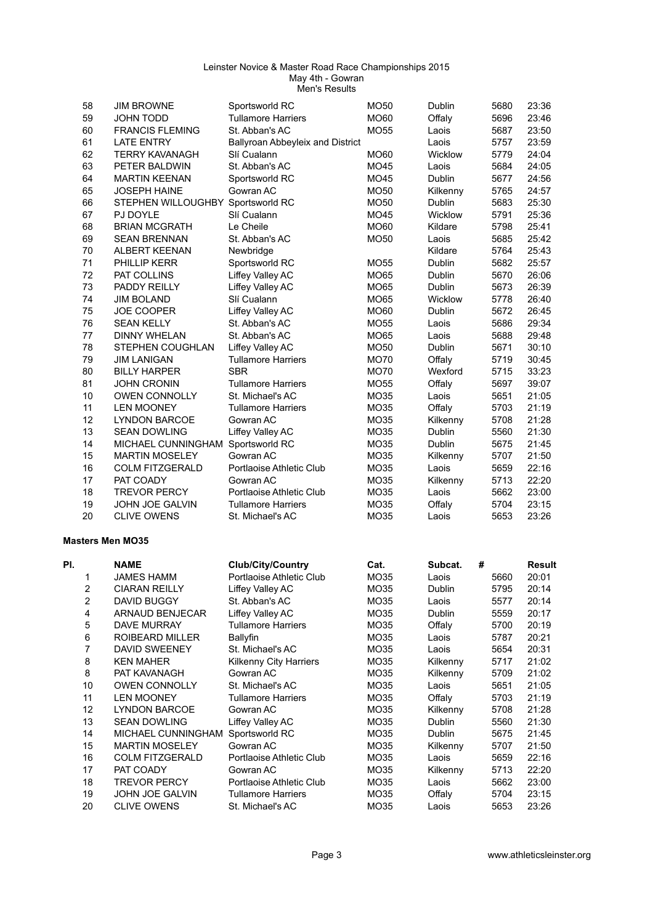| 58                      | <b>JIM BROWNE</b>                 | Sportsworld RC                   | MO50             | Dublin   | 5680 | 23:36  |
|-------------------------|-----------------------------------|----------------------------------|------------------|----------|------|--------|
| 59                      | <b>JOHN TODD</b>                  | <b>Tullamore Harriers</b>        | MO60             | Offaly   | 5696 | 23:46  |
| 60                      | <b>FRANCIS FLEMING</b>            | St. Abban's AC                   | <b>MO55</b>      | Laois    | 5687 | 23:50  |
| 61                      | <b>LATE ENTRY</b>                 | Ballyroan Abbeyleix and District |                  | Laois    | 5757 | 23:59  |
| 62                      | <b>TERRY KAVANAGH</b>             | Slí Cualann                      | <b>MO60</b>      | Wicklow  | 5779 | 24:04  |
| 63                      | PETER BALDWIN                     | St. Abban's AC                   | MO45             | Laois    | 5684 | 24:05  |
| 64                      | <b>MARTIN KEENAN</b>              | Sportsworld RC                   | MO45             | Dublin   | 5677 | 24:56  |
| 65                      | <b>JOSEPH HAINE</b>               | Gowran AC                        | MO50             | Kilkenny | 5765 | 24:57  |
| 66                      | STEPHEN WILLOUGHBY Sportsworld RC |                                  | MO50             | Dublin   | 5683 | 25:30  |
| 67                      | PJ DOYLE                          | Slí Cualann                      | MO45             | Wicklow  | 5791 | 25:36  |
| 68                      | <b>BRIAN MCGRATH</b>              | Le Cheile                        | MO60             | Kildare  | 5798 | 25:41  |
| 69                      | <b>SEAN BRENNAN</b>               | St. Abban's AC                   | MO50             | Laois    | 5685 | 25:42  |
| 70                      | <b>ALBERT KEENAN</b>              | Newbridge                        |                  | Kildare  | 5764 | 25:43  |
| 71                      | PHILLIP KERR                      | Sportsworld RC                   | MO55             | Dublin   | 5682 | 25:57  |
| 72                      | PAT COLLINS                       | Liffey Valley AC                 | <b>MO65</b>      | Dublin   | 5670 | 26:06  |
| 73                      | PADDY REILLY                      | Liffey Valley AC                 | <b>MO65</b>      | Dublin   | 5673 | 26:39  |
| 74                      | <b>JIM BOLAND</b>                 | Slí Cualann                      | MO65             | Wicklow  | 5778 | 26:40  |
| 75                      | <b>JOE COOPER</b>                 | Liffey Valley AC                 | MO60             | Dublin   | 5672 | 26:45  |
| 76                      | <b>SEAN KELLY</b>                 | St. Abban's AC                   | MO <sub>55</sub> | Laois    | 5686 | 29:34  |
| 77                      | <b>DINNY WHELAN</b>               | St. Abban's AC                   | <b>MO65</b>      | Laois    | 5688 | 29:48  |
| 78                      | <b>STEPHEN COUGHLAN</b>           | Liffey Valley AC                 | <b>MO50</b>      | Dublin   | 5671 | 30:10  |
| 79                      | <b>JIM LANIGAN</b>                | <b>Tullamore Harriers</b>        |                  |          | 5719 |        |
|                         |                                   |                                  | <b>MO70</b>      | Offaly   |      | 30:45  |
| 80                      | <b>BILLY HARPER</b>               | <b>SBR</b>                       | <b>MO70</b>      | Wexford  | 5715 | 33:23  |
| 81                      | <b>JOHN CRONIN</b>                | <b>Tullamore Harriers</b>        | MO55             | Offaly   | 5697 | 39:07  |
| 10                      | <b>OWEN CONNOLLY</b>              | St. Michael's AC                 | MO35             | Laois    | 5651 | 21:05  |
| 11                      | <b>LEN MOONEY</b>                 | <b>Tullamore Harriers</b>        | MO35             | Offaly   | 5703 | 21:19  |
| 12                      | <b>LYNDON BARCOE</b>              | Gowran AC                        | MO35             | Kilkenny | 5708 | 21:28  |
| 13                      | <b>SEAN DOWLING</b>               | Liffey Valley AC                 | MO35             | Dublin   | 5560 | 21:30  |
| 14                      | MICHAEL CUNNINGHAM Sportsworld RC |                                  | MO35             | Dublin   | 5675 | 21:45  |
| 15                      | <b>MARTIN MOSELEY</b>             | Gowran AC                        | MO35             | Kilkenny | 5707 | 21:50  |
| 16                      | <b>COLM FITZGERALD</b>            | Portlaoise Athletic Club         | MO35             | Laois    | 5659 | 22:16  |
| 17                      | PAT COADY                         | Gowran AC                        | MO35             | Kilkenny | 5713 | 22:20  |
| 18                      | <b>TREVOR PERCY</b>               | Portlaoise Athletic Club         | MO35             | Laois    | 5662 | 23:00  |
| 19                      | JOHN JOE GALVIN                   | <b>Tullamore Harriers</b>        | MO35             | Offaly   | 5704 | 23:15  |
| 20                      | <b>CLIVE OWENS</b>                | St. Michael's AC                 | MO35             | Laois    | 5653 | 23:26  |
| <b>Masters Men MO35</b> |                                   |                                  |                  |          |      |        |
| PI.                     | <b>NAME</b>                       | <b>Club/City/Country</b>         | Cat.             | Subcat.  | #    | Result |
| 1                       | <b>JAMES HAMM</b>                 | Portlaoise Athletic Club         | MO35             | Laois    | 5660 | 20:01  |
| 2                       | <b>CIARAN REILLY</b>              | Liffey Valley AC                 | MO35             | Dublin   | 5795 | 20:14  |
| 2                       | <b>DAVID BUGGY</b>                | St. Abban's AC                   | MO35             | Laois    | 5577 | 20:14  |
| 4                       | ARNAUD BENJECAR                   | Liffey Valley AC                 | MO35             | Dublin   | 5559 | 20:17  |
| 5                       | DAVE MURRAY                       | <b>Tullamore Harriers</b>        | MO35             | Offaly   | 5700 | 20:19  |
| 6                       | <b>ROIBEARD MILLER</b>            | <b>Ballyfin</b>                  | MO35             | Laois    | 5787 | 20:21  |
| $\overline{7}$          | DAVID SWEENEY                     | St. Michael's AC                 | MO35             | Laois    | 5654 | 20:31  |
| 8                       | <b>KEN MAHER</b>                  | Kilkenny City Harriers           | MO35             | Kilkenny | 5717 | 21:02  |
| 8                       | PAT KAVANAGH                      | Gowran AC                        | MO35             |          | 5709 | 21:02  |
|                         |                                   |                                  |                  | Kilkenny |      |        |
| 10                      | <b>OWEN CONNOLLY</b>              | St. Michael's AC                 | MO35             | Laois    | 5651 | 21:05  |
| 11                      | <b>LEN MOONEY</b>                 | <b>Tullamore Harriers</b>        | MO35             | Offaly   | 5703 | 21:19  |
| 12                      | LYNDON BARCOE                     | Gowran AC                        | MO35             | Kilkenny | 5708 | 21:28  |
| 13                      | <b>SEAN DOWLING</b>               | Liffey Valley AC                 | MO35             | Dublin   | 5560 | 21:30  |
| 14                      | MICHAEL CUNNINGHAM Sportsworld RC |                                  | MO35             | Dublin   | 5675 | 21:45  |
| 15                      | <b>MARTIN MOSELEY</b>             | Gowran AC                        | MO35             | Kilkenny | 5707 | 21:50  |
| 16                      | <b>COLM FITZGERALD</b>            | Portlaoise Athletic Club         | MO35             | Laois    | 5659 | 22:16  |
| 17                      | PAT COADY                         | Gowran AC                        | MO35             | Kilkenny | 5713 | 22:20  |
| 18                      | <b>TREVOR PERCY</b>               | Portlaoise Athletic Club         | MO35             | Laois    | 5662 | 23:00  |
| 19                      | JOHN JOE GALVIN                   | <b>Tullamore Harriers</b>        | MO35             | Offaly   | 5704 | 23:15  |
| 20                      | <b>CLIVE OWENS</b>                | St. Michael's AC                 | MO35             | Laois    | 5653 | 23:26  |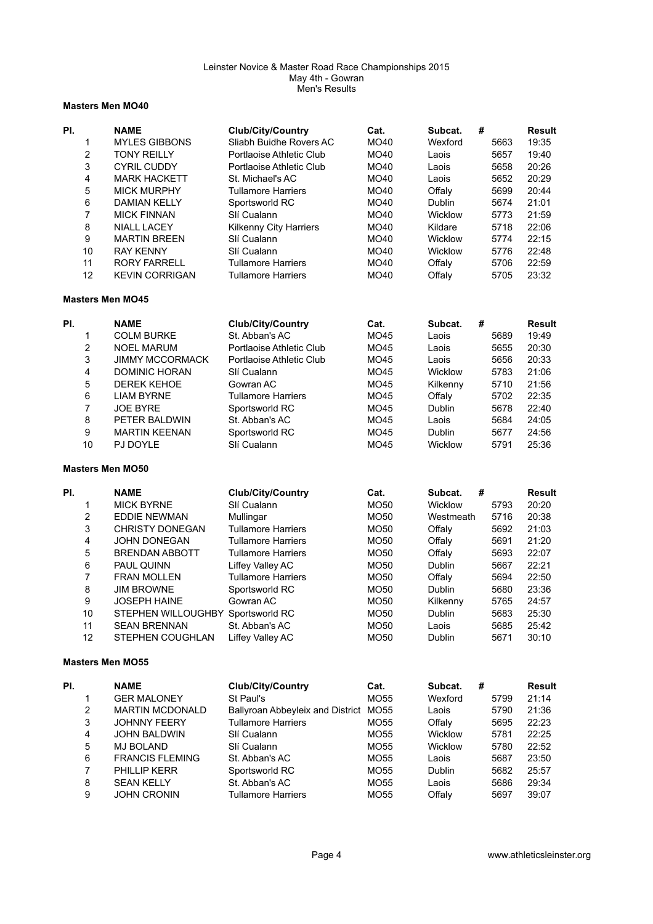### **Masters Men MO40**

| PI. |                           | <b>NAME</b>                       | <b>Club/City/Country</b>         | Cat.                | Subcat.<br># |      | <b>Result</b> |
|-----|---------------------------|-----------------------------------|----------------------------------|---------------------|--------------|------|---------------|
|     | 1                         | <b>MYLES GIBBONS</b>              | Sliabh Buidhe Rovers AC          | MO40                | Wexford      | 5663 | 19:35         |
|     | $\overline{c}$            | <b>TONY REILLY</b>                | Portlaoise Athletic Club         | MO40                | Laois        | 5657 | 19:40         |
|     | 3                         | <b>CYRIL CUDDY</b>                | Portlaoise Athletic Club         | MO40                | Laois        | 5658 | 20:26         |
|     | $\overline{\mathbf{4}}$   | <b>MARK HACKETT</b>               | St. Michael's AC                 | MO40                | Laois        | 5652 | 20:29         |
|     | 5                         | <b>MICK MURPHY</b>                | <b>Tullamore Harriers</b>        | MO40                | Offaly       | 5699 | 20:44         |
|     | $\,6$                     | <b>DAMIAN KELLY</b>               | Sportsworld RC                   | MO40                | Dublin       | 5674 | 21:01         |
|     | $\overline{7}$            | MICK FINNAN                       | Slí Cualann                      | MO40                | Wicklow      | 5773 | 21:59         |
|     | 8                         | NIALL LACEY                       | Kilkenny City Harriers           | MO40                | Kildare      | 5718 | 22:06         |
|     | 9                         | <b>MARTIN BREEN</b>               | Slí Cualann                      | MO40                | Wicklow      | 5774 | 22:15         |
|     | 10                        | <b>RAY KENNY</b>                  | Slí Cualann                      | MO40                | Wicklow      | 5776 | 22:48         |
|     | 11                        | <b>RORY FARRELL</b>               | <b>Tullamore Harriers</b>        | MO40                | Offaly       | 5706 | 22:59         |
|     | 12                        | <b>KEVIN CORRIGAN</b>             | <b>Tullamore Harriers</b>        | MO40                | Offaly       | 5705 | 23:32         |
|     |                           | <b>Masters Men MO45</b>           |                                  |                     |              |      |               |
| PI. |                           | <b>NAME</b>                       | <b>Club/City/Country</b>         | Cat.                | #<br>Subcat. |      | <b>Result</b> |
|     | 1                         | <b>COLM BURKE</b>                 | St. Abban's AC                   | MO45                | Laois        | 5689 | 19:49         |
|     | $\mathbf 2$               | <b>NOEL MARUM</b>                 | Portlaoise Athletic Club         | <b>MO45</b>         | Laois        | 5655 | 20:30         |
|     | 3                         | <b>JIMMY MCCORMACK</b>            | Portlaoise Athletic Club         | <b>MO45</b>         | Laois        | 5656 | 20:33         |
|     | $\overline{4}$            | <b>DOMINIC HORAN</b>              | Slí Cualann                      | MO45                | Wicklow      | 5783 | 21:06         |
|     | 5                         | <b>DEREK KEHOE</b>                | Gowran AC                        |                     |              | 5710 | 21:56         |
|     | $\,6$                     | <b>LIAM BYRNE</b>                 |                                  | MO45<br><b>MO45</b> | Kilkenny     | 5702 | 22:35         |
|     | $\overline{7}$            |                                   | <b>Tullamore Harriers</b>        |                     | Offaly       |      |               |
|     |                           | <b>JOE BYRE</b>                   | Sportsworld RC                   | MO45                | Dublin       | 5678 | 22:40         |
|     | 8                         | PETER BALDWIN                     | St. Abban's AC                   | MO45                | Laois        | 5684 | 24:05         |
|     | 9                         | <b>MARTIN KEENAN</b>              | Sportsworld RC                   | MO45                | Dublin       | 5677 | 24:56         |
|     | 10                        | PJ DOYLE                          | Slí Cualann                      | MO45                | Wicklow      | 5791 | 25:36         |
|     |                           | <b>Masters Men MO50</b>           |                                  |                     |              |      |               |
| PI. |                           | <b>NAME</b>                       | <b>Club/City/Country</b>         | Cat.                | Subcat.<br># |      | <b>Result</b> |
|     | 1                         | <b>MICK BYRNE</b>                 | Slí Cualann                      | MO50                | Wicklow      | 5793 | 20:20         |
|     | $\overline{c}$            | <b>EDDIE NEWMAN</b>               | Mullingar                        | MO50                | Westmeath    | 5716 | 20:38         |
|     | $\ensuremath{\mathsf{3}}$ | <b>CHRISTY DONEGAN</b>            | <b>Tullamore Harriers</b>        | MO50                | Offaly       | 5692 | 21:03         |
|     | $\overline{\mathbf{4}}$   | <b>JOHN DONEGAN</b>               | <b>Tullamore Harriers</b>        | MO50                | Offaly       | 5691 | 21:20         |
|     | 5                         | <b>BRENDAN ABBOTT</b>             | <b>Tullamore Harriers</b>        | MO50                | Offaly       | 5693 | 22:07         |
|     | $\,6$                     | PAUL QUINN                        | Liffey Valley AC                 | MO50                | Dublin       | 5667 | 22:21         |
|     | $\overline{7}$            | FRAN MOLLEN                       | <b>Tullamore Harriers</b>        | MO50                | Offaly       | 5694 | 22:50         |
|     | 8                         | <b>JIM BROWNE</b>                 | Sportsworld RC                   | MO50                | Dublin       | 5680 | 23:36         |
|     | $\boldsymbol{9}$          | <b>JOSEPH HAINE</b>               | Gowran AC                        | MO50                | Kilkenny     | 5765 | 24:57         |
|     | 10                        | STEPHEN WILLOUGHBY Sportsworld RC |                                  | MO50                | Dublin       | 5683 | 25:30         |
|     | 11                        | <b>SEAN BRENNAN</b>               | St. Abban's AC                   | MO50                | Laois        | 5685 | 25:42         |
|     | 12                        | STEPHEN COUGHLAN                  | Liffey Valley AC                 | MO50                | Dublin       | 5671 | 30:10         |
|     |                           | <b>Masters Men MO55</b>           |                                  |                     |              |      |               |
| PI. |                           | <b>NAME</b>                       | <b>Club/City/Country</b>         | Cat.                | Subcat.<br># |      | <b>Result</b> |
|     | 1                         | <b>GER MALONEY</b>                | St Paul's                        | MO55                | Wexford      | 5799 | 21:14         |
|     | $\overline{c}$            | <b>MARTIN MCDONALD</b>            | Ballyroan Abbeyleix and District | <b>MO55</b>         | Laois        | 5790 | 21:36         |
|     | 3                         | JOHNNY FEERY                      | <b>Tullamore Harriers</b>        | MO55                | Offaly       | 5695 | 22:23         |
|     | $\overline{4}$            | JOHN BALDWIN                      | Slí Cualann                      | MO55                | Wicklow      | 5781 | 22:25         |
|     | 5                         | <b>MJ BOLAND</b>                  | Slí Cualann                      | <b>MO55</b>         | Wicklow      | 5780 | 22:52         |
|     | $\,6$                     | <b>FRANCIS FLEMING</b>            | St. Abban's AC                   | MO55                | Laois        | 5687 | 23:50         |
|     | 7                         | PHILLIP KERR                      | Sportsworld RC                   | <b>MO55</b>         | Dublin       | 5682 | 25:57         |
|     | 8                         | <b>SEAN KELLY</b>                 | St. Abban's AC                   | MO <sub>55</sub>    | Laois        | 5686 | 29:34         |
|     | 9                         | <b>JOHN CRONIN</b>                | <b>Tullamore Harriers</b>        | MO55                | Offaly       | 5697 | 39:07         |
|     |                           |                                   |                                  |                     |              |      |               |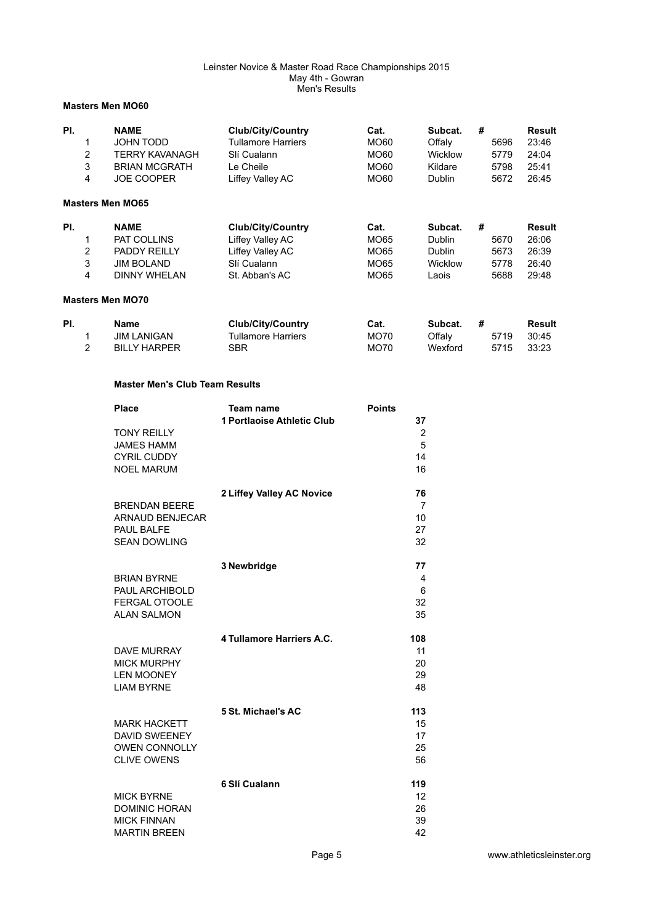### **Masters Men MO60**

| PI. | $\overline{2}$<br>3<br>4 | <b>NAME</b><br>JOHN TODD<br><b>TERRY KAVANAGH</b><br><b>BRIAN MCGRATH</b><br><b>JOE COOPER</b>       | <b>Club/City/Country</b><br><b>Tullamore Harriers</b><br>Slí Cualann<br>Le Cheile<br>Liffey Valley AC | Cat.<br>MO60<br>MO60<br>MO60<br>MO60 | Subcat.<br>Offaly<br><b>Wicklow</b><br>Kildare<br>Dublin             | # | 5696<br>5779<br>5798<br>5672 | <b>Result</b><br>23:46<br>24:04<br>25:41<br>26:45 |
|-----|--------------------------|------------------------------------------------------------------------------------------------------|-------------------------------------------------------------------------------------------------------|--------------------------------------|----------------------------------------------------------------------|---|------------------------------|---------------------------------------------------|
|     |                          | <b>Masters Men MO65</b>                                                                              |                                                                                                       |                                      |                                                                      |   |                              |                                                   |
| PI. | 2<br>3<br>4              | <b>NAME</b><br><b>PAT COLLINS</b><br><b>PADDY REILLY</b><br><b>JIM BOLAND</b><br><b>DINNY WHELAN</b> | <b>Club/City/Country</b><br>Liffey Valley AC<br>Liffey Valley AC<br>Slí Cualann<br>St. Abban's AC     | Cat.<br>MO65<br>MO65<br>MO65<br>MO65 | Subcat.<br><b>Dublin</b><br><b>Dublin</b><br><b>Wicklow</b><br>Laois | # | 5670<br>5673<br>5778<br>5688 | Result<br>26:06<br>26:39<br>26:40<br>29:48        |
|     |                          | <b>Masters Men MO70</b>                                                                              |                                                                                                       |                                      |                                                                      |   |                              |                                                   |
| PI. | 2                        | <b>Name</b><br><b>JIM LANIGAN</b><br><b>BILLY HARPER</b>                                             | <b>Club/City/Country</b><br><b>Tullamore Harriers</b><br>SBR                                          | Cat.<br>MO70<br><b>MO70</b>          | Subcat.<br>Offaly<br>Wexford                                         | # | 5719<br>5715                 | Result<br>30:45<br>33:23                          |

## **Master Men's Club Team Results**

| <b>Place</b>           | Team name                  | <b>Points</b>   |
|------------------------|----------------------------|-----------------|
|                        | 1 Portlaoise Athletic Club | 37              |
| <b>TONY REILLY</b>     |                            | $\mathbf{2}$    |
| <b>JAMES HAMM</b>      |                            | 5               |
| <b>CYRIL CUDDY</b>     |                            | 14              |
| <b>NOEL MARUM</b>      |                            | 16              |
|                        | 2 Liffey Valley AC Novice  | 76              |
| <b>BRENDAN BEERE</b>   |                            | 7               |
| <b>ARNAUD BENJECAR</b> |                            | 10              |
| PAUL BALFE             |                            | 27              |
| <b>SEAN DOWLING</b>    |                            | 32              |
|                        | 3 Newbridge                | 77              |
| <b>BRIAN BYRNE</b>     |                            | 4               |
| PAUL ARCHIBOLD         |                            | 6               |
| <b>FERGAL OTOOLE</b>   |                            | 32              |
| <b>ALAN SALMON</b>     |                            | 35              |
|                        |                            |                 |
|                        | 4 Tullamore Harriers A.C.  | 108             |
| <b>DAVE MURRAY</b>     |                            | 11              |
| <b>MICK MURPHY</b>     |                            | 20              |
| <b>LEN MOONEY</b>      |                            | 29              |
| <b>LIAM BYRNE</b>      |                            | 48              |
|                        | 5 St. Michael's AC         | 113             |
| <b>MARK HACKETT</b>    |                            | 15              |
| <b>DAVID SWEENEY</b>   |                            | 17              |
| <b>OWEN CONNOLLY</b>   |                            | 25              |
| <b>CLIVE OWENS</b>     |                            | 56              |
|                        | 6 Slí Cualann              | 119             |
| <b>MICK BYRNE</b>      |                            | 12 <sup>2</sup> |
| <b>DOMINIC HORAN</b>   |                            | 26              |
| <b>MICK FINNAN</b>     |                            | 39              |
| <b>MARTIN BREEN</b>    |                            | 42              |